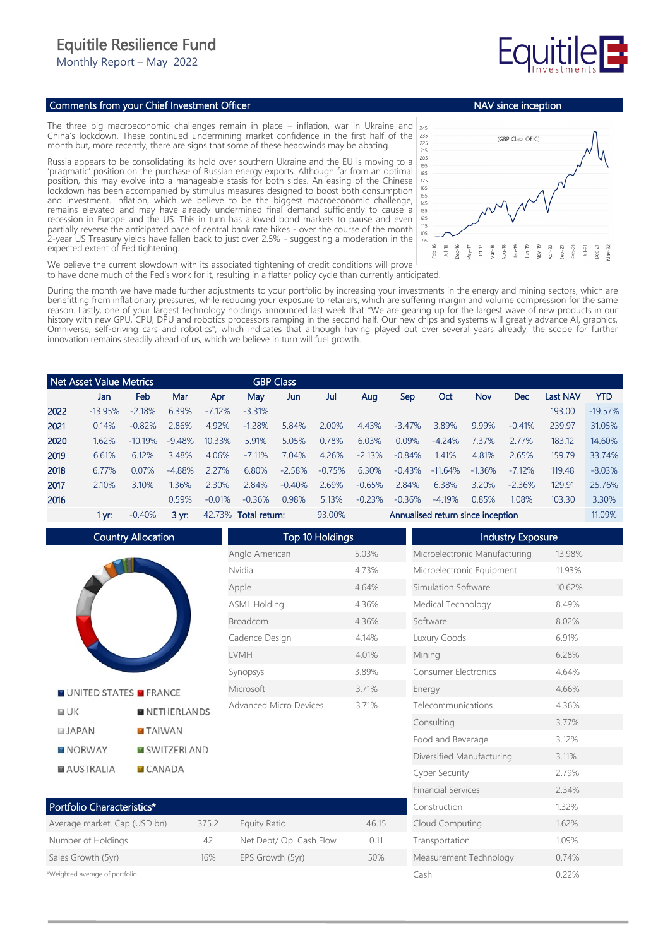## Equitile Resilience Fund

Monthly Report – May 2022

## Comments from your Chief Investment Officer

The three big macroeconomic challenges remain in place – inflation, war in Ukraine and China's lockdown. These continued undermining market confidence in the first half of the month but, more recently, there are signs that some of these headwinds may be abating.

Russia appears to be consolidating its hold over southern Ukraine and the EU is moving to a 'pragmatic' position on the purchase of Russian energy exports. Although far from an optimal position, this may evolve into a manageable stasis for both sides. An easing of the Chinese lockdown has been accompanied by stimulus measures designed to boost both consumption and investment. Inflation, which we believe to be the biggest macroeconomic challenge, remains elevated and may have already undermined final demand sufficiently to cause a recession in Europe and the US. This in turn has allowed bond markets to pause and even partially reverse the anticipated pace of central bank rate hikes - over the course of the month 2-year US Treasury yields have fallen back to just over 2.5% - suggesting a moderation in the expected extent of Fed tightening.



Measurement Technology 0.74% Cash 0.22%

We believe the current slowdown with its associated tightening of credit conditions will prove to have done much of the Fed's work for it, resulting in a flatter policy cycle than currently anticipated.

During the month we have made further adjustments to your portfolio by increasing your investments in the energy and mining sectors, which are benefitting from inflationary pressures, while reducing your exposure to retailers, which are suffering margin and volume compression for the same reason. Lastly, one of your largest technology holdings announced last week that "We are gearing up for the largest wave of new products in our history with new GPU, CPU, DPU and robotics processors ramping in the second half. Our new chips and systems will greatly advance AI, graphics, Omniverse, self-driving cars and robotics", which indicates that although having played out over several years already, the scope for further innovation remains steadily ahead of us, which we believe in turn will fuel growth.

|      | Net Asset Value Metrics |           |           |          |                      | <b>GBP Class</b> |          |                                   |          |           |          |            |                 |            |
|------|-------------------------|-----------|-----------|----------|----------------------|------------------|----------|-----------------------------------|----------|-----------|----------|------------|-----------------|------------|
|      | Jan                     | Feb       | Mar       | Apr      | May                  | Jun              | Jul      | Aug                               | Sep      | Oct       | Nov      | <b>Dec</b> | <b>Last NAV</b> | <b>YTD</b> |
| 2022 | $-13.95%$               | $-2.18%$  | 6.39%     | $-7.12%$ | $-3.31%$             |                  |          |                                   |          |           |          |            | 193.00          | $-19.57%$  |
| 2021 | 0.14%                   | $-0.82%$  | 2.86%     | 4.92%    | $-1.28%$             | 5.84%            | 2.00%    | 4.43%                             | $-3.47%$ | 3.89%     | 9.99%    | $-0.41%$   | 239.97          | 31.05%     |
| 2020 | 1.62%                   | $-1019\%$ | $-9.48%$  | 10.33%   | 5.91%                | 5.05%            | 0.78%    | 6.03%                             | 0.09%    | $-4.24%$  | 7.37%    | 2.77%      | 183.12          | 14.60%     |
| 2019 | 6.61%                   | 6.12%     | 3.48%     | 4.06%    | $-7.11%$             | 7.04%            | 4.26%    | $-2.13%$                          | $-0.84%$ | 1.41%     | 4.81%    | 2.65%      | 159.79          | 33.74%     |
| 2018 | 6.77%                   | 0.07%     | $-4.88%$  | 2.27%    | 6.80%                | $-2.58%$         | $-0.75%$ | 6.30%                             | $-0.43%$ | $-11.64%$ | $-1.36%$ | $-7.12%$   | 119.48          | $-8.03%$   |
| 2017 | 2.10%                   | 3.10%     | .36%      | 2.30%    | 2.84%                | $-0.40%$         | 2.69%    | $-0.65%$                          | 2.84%    | 6.38%     | 3.20%    | $-2.36%$   | 129.91          | 25.76%     |
| 2016 |                         |           | 0.59%     | $-0.01%$ | $-0.36%$             | 0.98%            | 5.13%    | $-0.23%$                          | $-0.36%$ | $-4.19%$  | 0.85%    | 1.08%      | 103.30          | 3.30%      |
|      | 1 vr:                   | $-0.40%$  | $3 \, yr$ |          | 42.73% Total return: |                  |          | Annualised return since inception |          |           |          |            | 11.09%          |            |

Country Allocation Top 10 Holdings **Industry Exposure** Anglo American 5.03% Microelectronic Manufacturing 13.98% Nvidia 4.73% Microelectronic Equipment 11.93% Apple 4.64% Simulation Software 10.62% ASML Holding 4.36% Medical Technology 8.49% Broadcom 4.36% Software 8.02% Cadence Design 4.14% Luxury Goods 6.91% LVMH 4.01% Mining 6.28% Synopsys 3.89% Consumer Electronics 4.64% Microsoft 3.71% Energy 4.66% **NUNITED STATES MERANCE** Advanced Micro Devices 3.71% Telecommunications 4.36%  $F = I K$ **NETHERLANDS** Consulting 3.77% **JAPAN TAIWAN** Food and Beverage 3.12% **NORWAY MISWITZERLAND** Diversified Manufacturing 3.11% **MAUSTRALIA**  $CANADA$ Cyber Security 2.79% Financial Services 2.34% Portfolio Characteristics\* Construction 1.32% Average market. Cap (USD bn) 375.2 Equity Ratio 46.15 Cloud Computing 1.62% Number of Holdings and A2 Net Debt/ Op. Cash Flow 0.11 Transportation 1.09% Sales Growth (5yr) 16% EPS Growth (5yr) 50%

\*Weighted average of portfolio

NAV since inception